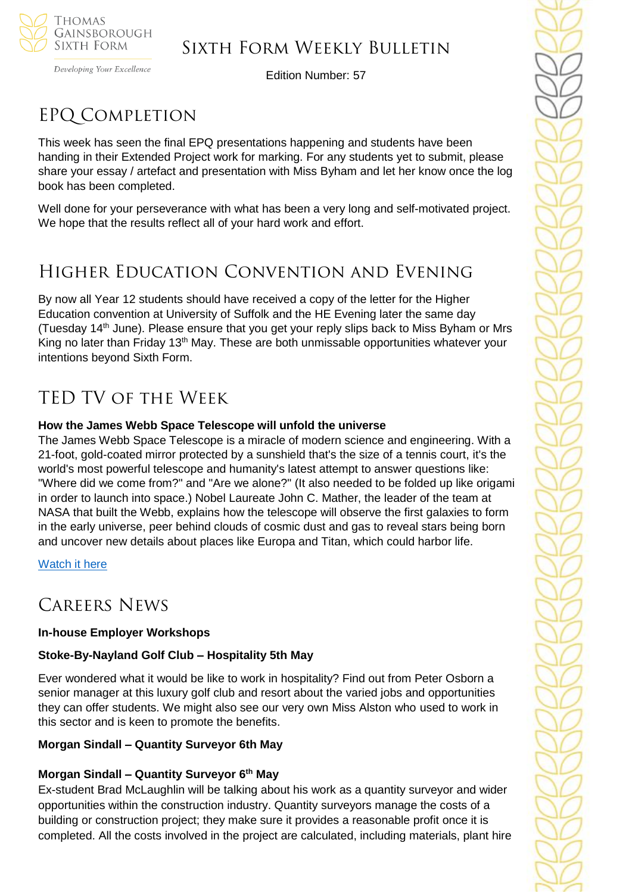

Developing Your Excellence

Edition Number: 57

# EPQ Completion

This week has seen the final EPQ presentations happening and students have been handing in their Extended Project work for marking. For any students yet to submit, please share your essay / artefact and presentation with Miss Byham and let her know once the log book has been completed.

Well done for your perseverance with what has been a very long and self-motivated project. We hope that the results reflect all of your hard work and effort.

# Higher Education Convention and Evening

By now all Year 12 students should have received a copy of the letter for the Higher Education convention at University of Suffolk and the HE Evening later the same day (Tuesday 14th June). Please ensure that you get your reply slips back to Miss Byham or Mrs King no later than Friday 13<sup>th</sup> May. These are both unmissable opportunities whatever your intentions beyond Sixth Form.

# TED TV of the Week

# **How the James Webb Space Telescope will unfold the universe**

The James Webb Space Telescope is a miracle of modern science and engineering. With a 21-foot, gold-coated mirror protected by a sunshield that's the size of a tennis court, it's the world's most powerful telescope and humanity's latest attempt to answer questions like: "Where did we come from?" and "Are we alone?" (It also needed to be folded up like origami in order to launch into space.) Nobel Laureate John C. Mather, the leader of the team at NASA that built the Webb, explains how the telescope will observe the first galaxies to form in the early universe, peer behind clouds of cosmic dust and gas to reveal stars being born and uncover new details about places like Europa and Titan, which could harbor life.

[Watch it here](https://www.ted.com/talks/john_c_mather_how_the_james_webb_space_telescope_will_unfold_the_universe)

# Careers News

# **In-house Employer Workshops**

# **Stoke-By-Nayland Golf Club – Hospitality 5th May**

Ever wondered what it would be like to work in hospitality? Find out from Peter Osborn a senior manager at this luxury golf club and resort about the varied jobs and opportunities they can offer students. We might also see our very own Miss Alston who used to work in this sector and is keen to promote the benefits.

# **Morgan Sindall – Quantity Surveyor 6th May**

# **Morgan Sindall – Quantity Surveyor 6th May**

Ex-student Brad McLaughlin will be talking about his work as a quantity surveyor and wider opportunities within the construction industry. Quantity surveyors manage the costs of a building or construction project; they make sure it provides a reasonable profit once it is completed. All the costs involved in the project are calculated, including materials, plant hire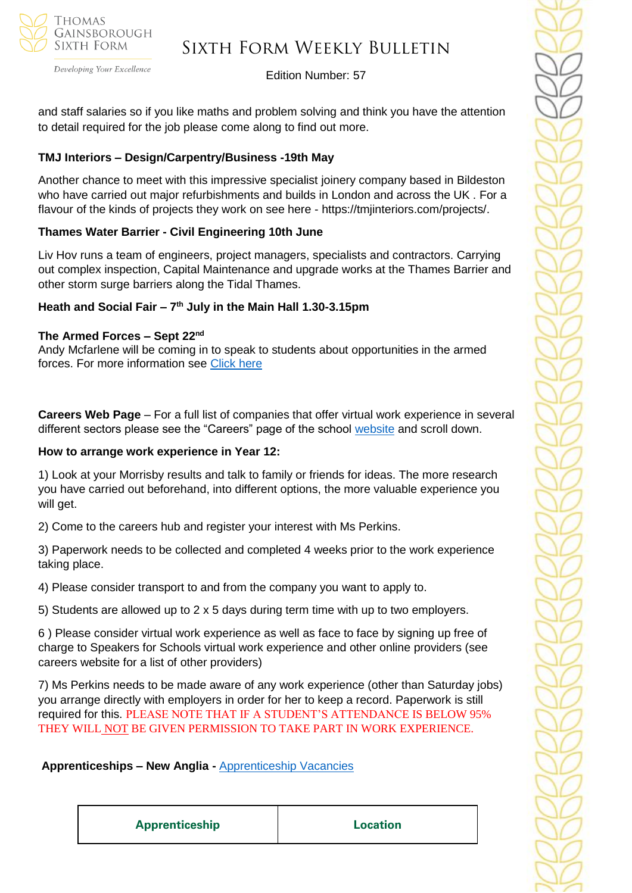

Developing Your Excellence

# Edition Number: 57

and staff salaries so if you like maths and problem solving and think you have the attention to detail required for the job please come along to find out more.

# **TMJ Interiors – Design/Carpentry/Business -19th May**

Another chance to meet with this impressive specialist joinery company based in Bildeston who have carried out major refurbishments and builds in London and across the UK . For a flavour of the kinds of projects they work on see here - https://tmjinteriors.com/projects/.

### **Thames Water Barrier - Civil Engineering 10th June**

Liv Hov runs a team of engineers, project managers, specialists and contractors. Carrying out complex inspection, Capital Maintenance and upgrade works at the Thames Barrier and other storm surge barriers along the Tidal Thames.

### **Heath and Social Fair – 7 th July in the Main Hall 1.30-3.15pm**

### **The Armed Forces – Sept 22nd**

Andy Mcfarlene will be coming in to speak to students about opportunities in the armed forces. For more information see [Click here](https://www.army.mod.uk/careers/)

**Careers Web Page** – For a full list of companies that offer virtual work experience in several different sectors please see the "Careers" page of the school [website](https://tgschool.net/careers) and scroll down.

### **How to arrange work experience in Year 12:**

1) Look at your Morrisby results and talk to family or friends for ideas. The more research you have carried out beforehand, into different options, the more valuable experience you will get.

2) Come to the careers hub and register your interest with Ms Perkins.

3) Paperwork needs to be collected and completed 4 weeks prior to the work experience taking place.

4) Please consider transport to and from the company you want to apply to.

5) Students are allowed up to 2 x 5 days during term time with up to two employers.

6 ) Please consider virtual work experience as well as face to face by signing up free of charge to Speakers for Schools virtual work experience and other online providers (see careers website for a list of other providers)

7) Ms Perkins needs to be made aware of any work experience (other than Saturday jobs) you arrange directly with employers in order for her to keep a record. Paperwork is still required for this. PLEASE NOTE THAT IF A STUDENT'S ATTENDANCE IS BELOW 95% THEY WILL NOT BE GIVEN PERMISSION TO TAKE PART IN WORK EXPERIENCE.

# **Apprenticeships – New Anglia -** [Apprenticeship Vacancies](https://v2.apprenticeshipsnewanglia.co.uk/apprenticeships/search/?s_query=&s_location=&s_distance=30&s_trade=0&s_apprenticeshipLevel=0&prop_View=list&prop_sort=created+desc)

**Apprenticeship Location**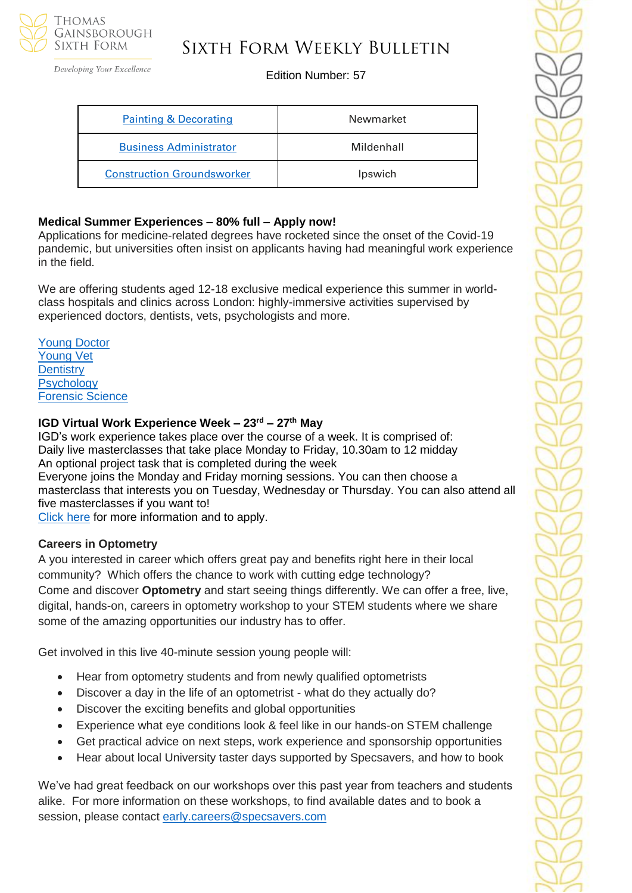

# Sixth Form Weekly Bulletin

Edition Number: 57

| <b>Painting &amp; Decorating</b>  | Newmarket  |
|-----------------------------------|------------|
| <b>Business Administrator</b>     | Mildenhall |
| <b>Construction Groundsworker</b> | Ipswich    |

# **Medical Summer Experiences – 80% full – Apply now!**

Applications for medicine-related degrees have rocketed since the onset of the Covid-19 pandemic, but universities often insist on applicants having had meaningful work experience in the field.

We are offering students aged 12-18 exclusive medical experience this summer in worldclass hospitals and clinics across London: highly-immersive activities supervised by experienced doctors, dentists, vets, psychologists and more.

[Young Doctor](https://investin.org/products/the-young-doctor-summer-experience?utm_source=UK+SCHOOLS+MASTER&utm_campaign=cb294f33d3-bankersschoolmar_COPY_01&utm_medium=email&utm_term=0_bfccb03bbd-cb294f33d3-139395017&mc_cid=cb294f33d3&mc_eid=943ed691cb) [Young Vet](https://investin.org/products/the-young-vet-summer-experience?utm_source=UK+SCHOOLS+MASTER&utm_campaign=cb294f33d3-bankersschoolmar_COPY_01&utm_medium=email&utm_term=0_bfccb03bbd-cb294f33d3-139395017&mc_cid=cb294f33d3&mc_eid=943ed691cb)  **[Dentistry](https://investin.org/products/the-young-dentist-summer-experience?utm_source=UK+SCHOOLS+MASTER&utm_campaign=cb294f33d3-bankersschoolmar_COPY_01&utm_medium=email&utm_term=0_bfccb03bbd-cb294f33d3-139395017&mc_cid=cb294f33d3&mc_eid=943ed691cb)** [Psychology](https://investin.org/products/the-young-psychologist-summer-experience?utm_source=UK+SCHOOLS+MASTER&utm_campaign=cb294f33d3-bankersschoolmar_COPY_01&utm_medium=email&utm_term=0_bfccb03bbd-cb294f33d3-139395017&mc_cid=cb294f33d3&mc_eid=943ed691cb)  [Forensic Science](https://investin.org/products/the-young-forensic-scientist-summer-experience?utm_source=UK+SCHOOLS+MASTER&utm_campaign=cb294f33d3-bankersschoolmar_COPY_01&utm_medium=email&utm_term=0_bfccb03bbd-cb294f33d3-139395017&mc_cid=cb294f33d3&mc_eid=943ed691cb) 

# **IGD Virtual Work Experience Week – 23rd – 27th May**

IGD's work experience takes place over the course of a week. It is comprised of: Daily live masterclasses that take place Monday to Friday, 10.30am to 12 midday An optional project task that is completed during the week Everyone joins the Monday and Friday morning sessions. You can then choose a masterclass that interests you on Tuesday, Wednesday or Thursday. You can also attend all five masterclasses if you want to!

[Click](https://igd.eventsair.com/work-experience-week---may-2022/weweekmay22/Site/Register) here for more information and to apply.

# **Careers in Optometry**

A you interested in career which offers great pay and benefits right here in their local community? Which offers the chance to work with cutting edge technology? Come and discover **Optometry** and start seeing things differently. We can offer a free, live, digital, hands-on, careers in optometry workshop to your STEM students where we share some of the amazing opportunities our industry has to offer.

Get involved in this live 40-minute session young people will:

- Hear from optometry students and from newly qualified optometrists
- Discover a day in the life of an optometrist what do they actually do?
- Discover the exciting benefits and global opportunities
- Experience what eve conditions look & feel like in our hands-on STEM challenge
- Get practical advice on next steps, work experience and sponsorship opportunities
- Hear about local University taster days supported by Specsavers, and how to book

We've had great feedback on our workshops over this past year from teachers and students alike. For more information on these workshops, to find available dates and to book a session, please contact [early.careers@specsavers.com](mailto:early.careers@specsavers.com)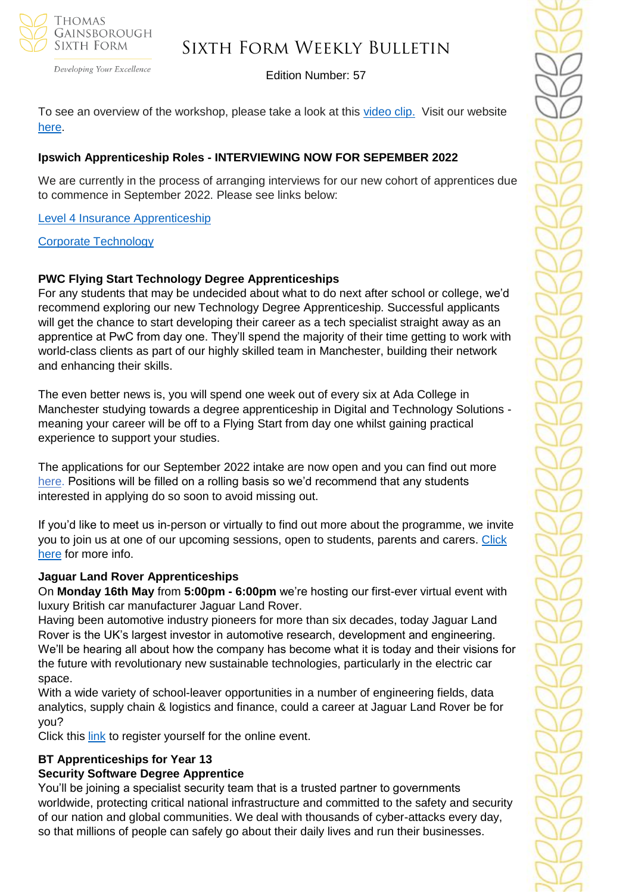

# Sixth Form Weekly Bulletin

Edition Number: 57

To see an overview of the workshop, please take a look at this [video clip.](https://nam12.safelinks.protection.outlook.com/?url=https%3A%2F%2Fsuccessatschool.us3.list-manage.com%2Ftrack%2Fclick%3Fu%3D2c038531b25876a2c7c9cf8b1%26id%3D5c986ac395%26e%3D530f418f3c&data=05%7C01%7C%7C6cf3eaa7211d47d7be7108da281f155d%7C84df9e7fe9f640afb435aaaaaaaaaaaa%7C1%7C0%7C637866411217918949%7CUnknown%7CTWFpbGZsb3d8eyJWIjoiMC4wLjAwMDAiLCJQIjoiV2luMzIiLCJBTiI6Ik1haWwiLCJXVCI6Mn0%3D%7C3000%7C%7C%7C&sdata=fpx3af1uG1mv%2FUXeoGiTAs%2FT5AZKI4Ek7jQLrSJzpdA%3D&reserved=0) Visit our website [here.](https://join.specsavers.com/uk/explore-careers/apprenticeships-and-future-talent-at-specsavers/stem-careers-in-optometry-with-specsavers/?goal=0_65c6d67e71-c7ac42d489-212136547&mc_cid=c7ac42d489&mc_eid=530f418f3c)

# **Ipswich Apprenticeship Roles - INTERVIEWING NOW FOR SEPEMBER 2022**

We are currently in the process of arranging interviews for our new cohort of apprentices due to commence in September 2022. Please see links below:

# [Level 4 Insurance Apprenticeship](https://wtw.taleo.net/careersection/wtw_external_campus/jobdetail.ftl?job=210007X9&lang=en&sns_id=mailto#.YmKxSmHKNrU.mailto)

### [Corporate Technology](https://wtw.taleo.net/careersection/wtw_external_campus/jobdetail.ftl?job=2200011W&lang=en&sns_id=mailto#.YmKyYn05U6o.mailto)

# **PWC Flying Start Technology Degree Apprenticeships**

For any students that may be undecided about what to do next after school or college, we'd recommend exploring our new Technology Degree Apprenticeship. Successful applicants will get the chance to start developing their career as a tech specialist straight away as an apprentice at PwC from day one. They'll spend the majority of their time getting to work with world-class clients as part of our highly skilled team in Manchester, building their network and enhancing their skills.

The even better news is, you will spend one week out of every six at Ada College in Manchester studying towards a degree apprenticeship in Digital and Technology Solutions meaning your career will be off to a Flying Start from day one whilst gaining practical experience to support your studies.

The applications for our September 2022 intake are now open and you can find out more [here.](https://nam12.safelinks.protection.outlook.com/?url=https%3A%2F%2Fnetsxithform.us5.list-manage.com%2Ftrack%2Fclick%3Fu%3D8dedc07ce580600fe618f38c3%26id%3D8c8c5e0f3a%26e%3D51b5a4fd55&data=05%7C01%7C%7Ccc4a1e13ecdb46e27cd408da2697d641%7C84df9e7fe9f640afb435aaaaaaaaaaaa%7C1%7C0%7C637864730853496189%7CUnknown%7CTWFpbGZsb3d8eyJWIjoiMC4wLjAwMDAiLCJQIjoiV2luMzIiLCJBTiI6Ik1haWwiLCJXVCI6Mn0%3D%7C3000%7C%7C%7C&sdata=OU7kjOo2MpAnGrEg43oNHN3bVJHoTnyKaXTy5NOXQSY%3D&reserved=0) Positions will be filled on a rolling basis so we'd recommend that any students interested in applying do so soon to avoid missing out.

If you'd like to meet us in-person or virtually to find out more about the programme, we invite you to join us at one of our upcoming sessions, open to students, parents and carers. [Click](https://www.pwc.co.uk/careers/student-careers/school-careers/our-programmes/flying-start-degrees/technology.html)  [here](https://www.pwc.co.uk/careers/student-careers/school-careers/our-programmes/flying-start-degrees/technology.html) for more info.

# **Jaguar Land Rover Apprenticeships**

On **Monday 16th May** from **5:00pm - 6:00pm** we're hosting our first-ever virtual event with luxury British car manufacturer Jaguar Land Rover.

Having been automotive industry pioneers for more than six decades, today Jaguar Land Rover is the UK's largest investor in automotive research, development and engineering. We'll be hearing all about how the company has become what it is today and their visions for the future with revolutionary new sustainable technologies, particularly in the electric car space.

With a wide variety of school-leaver opportunities in a number of engineering fields, data analytics, supply chain & logistics and finance, could a career at Jaguar Land Rover be for you?

Click this [link](https://www.surveymonkey.co.uk/r/JLR-Event) to register yourself for the online event.

# **BT Apprenticeships for Year 13**

# **Security Software Degree Apprentice**

You'll be joining a specialist security team that is a trusted partner to governments worldwide, protecting critical national infrastructure and committed to the safety and security of our nation and global communities. We deal with thousands of cyber-attacks every day, so that millions of people can safely go about their daily lives and run their businesses.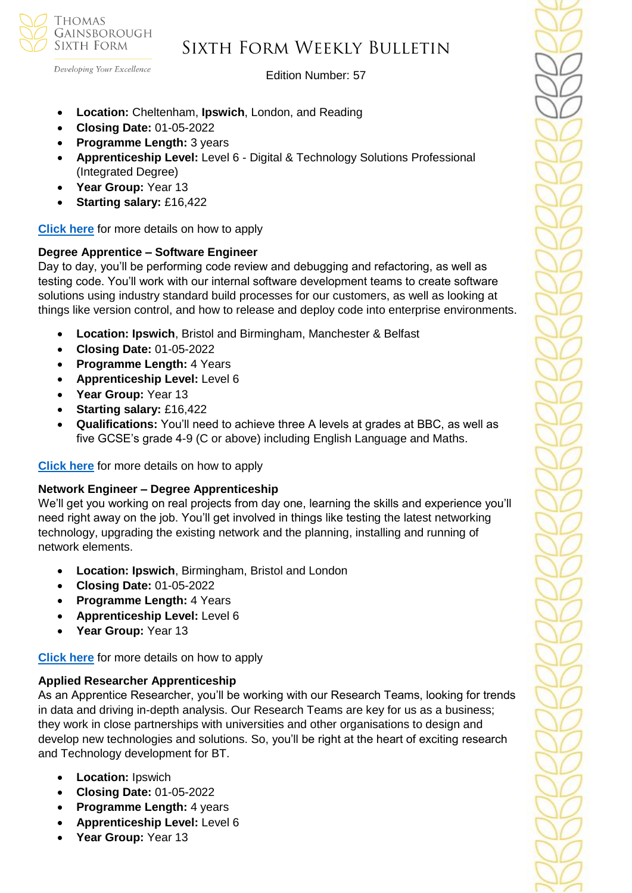

Developing Your Excellence

### Edition Number: 57

- **Location:** Cheltenham, **Ipswich**, London, and Reading
- **Closing Date:** 01-05-2022
- **Programme Length:** 3 years
- **Apprenticeship Level:** Level 6 Digital & Technology Solutions Professional (Integrated Degree)
- **Year Group:** Year 13
- **Starting salary:** £16,422

**[Click here](https://pathwayctm.com/opportunity/security-software-degree-apprentice/)** for more details on how to apply

# **Degree Apprentice – Software Engineer**

Day to day, you'll be performing code review and debugging and refactoring, as well as testing code. You'll work with our internal software development teams to create software solutions using industry standard build processes for our customers, as well as looking at things like version control, and how to release and deploy code into enterprise environments.

- **Location: Ipswich**, Bristol and Birmingham, Manchester & Belfast
- **Closing Date:** 01-05-2022
- **Programme Length:** 4 Years
- **Apprenticeship Level:** Level 6
- **Year Group:** Year 13
- **Starting salary:** £16,422
- **Qualifications:** You'll need to achieve three A levels at grades at BBC, as well as five GCSE's grade 4-9 (C or above) including English Language and Maths.

**[Click here](https://pathwayctm.com/opportunity/degree-apprentice-software-engineer/)** for more details on how to apply

# **Network Engineer – Degree Apprenticeship**

We'll get you working on real projects from day one, learning the skills and experience you'll need right away on the job. You'll get involved in things like testing the latest networking technology, upgrading the existing network and the planning, installing and running of network elements.

- **Location: Ipswich**, Birmingham, Bristol and London
- **Closing Date:** 01-05-2022
- **Programme Length:** 4 Years
- **Apprenticeship Level:** Level 6
- **Year Group:** Year 13

**[Click here](https://pathwayctm.com/opportunity/network-engineer-degree-apprenticeship/)** for more details on how to apply

# **Applied Researcher Apprenticeship**

As an Apprentice Researcher, you'll be working with our Research Teams, looking for trends in data and driving in-depth analysis. Our Research Teams are key for us as a business; they work in close partnerships with universities and other organisations to design and develop new technologies and solutions. So, you'll be right at the heart of exciting research and Technology development for BT.

- **Location:** Ipswich
- **Closing Date:** 01-05-2022
- **Programme Length:** 4 years
- **Apprenticeship Level:** Level 6
- **Year Group:** Year 13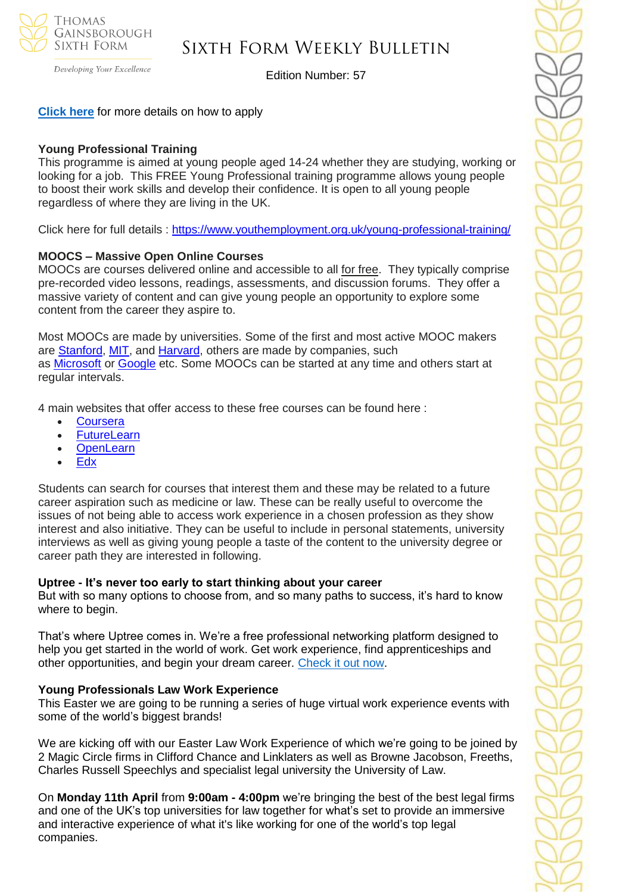

# Sixth Form Weekly Bulletin

Edition Number: 57

**[Click here](https://pathwayctm.com/opportunity/applied-researcher-apprenticeship/)** for more details on how to apply

#### **Young Professional Training**

This programme is aimed at young people aged 14-24 whether they are studying, working or looking for a job. This FREE Young Professional training programme allows young people to boost their work skills and develop their confidence. It is open to all young people regardless of where they are living in the UK.

Click here for full details : <https://www.youthemployment.org.uk/young-professional-training/>

#### **MOOCS – Massive Open Online Courses**

MOOCs are courses delivered online and accessible to all for free. They typically comprise pre-recorded video lessons, readings, assessments, and discussion forums. They offer a massive variety of content and can give young people an opportunity to explore some content from the career they aspire to.

Most MOOCs are made by universities. Some of the first and most active MOOC makers are [Stanford,](https://www.classcentral.com/university/stanford) [MIT,](https://www.classcentral.com/university/mit) and [Harvard,](https://www.classcentral.com/university/harvard) others are made by companies, such as [Microsoft](https://www.classcentral.com/institution/microsoft) or [Google](https://www.classcentral.com/institution/google) etc. Some MOOCs can be started at any time and others start at regular intervals.

4 main websites that offer access to these free courses can be found here :

- **[Coursera](https://www.coursera.org/)**
- [FutureLearn](https://www.futurelearn.com/)
- [OpenLearn](https://www.open.edu/openlearn/free-courses/full-catalogue)
- [Edx](https://www.edx.org/)

Students can search for courses that interest them and these may be related to a future career aspiration such as medicine or law. These can be really useful to overcome the issues of not being able to access work experience in a chosen profession as they show interest and also initiative. They can be useful to include in personal statements, university interviews as well as giving young people a taste of the content to the university degree or career path they are interested in following.

#### **Uptree - It's never too early to start thinking about your career**

But with so many options to choose from, and so many paths to success, it's hard to know where to begin.

That's where Uptree comes in. We're a free professional networking platform designed to help you get started in the world of work. Get work experience, find apprenticeships and other opportunities, and begin your dream career. [Check it out now.](https://uptree.co/students/)

#### **Young Professionals Law Work Experience**

This Easter we are going to be running a series of huge virtual work experience events with some of the world's biggest brands!

We are kicking off with our Easter Law Work Experience of which we're going to be joined by 2 Magic Circle firms in Clifford Chance and Linklaters as well as Browne Jacobson, Freeths, Charles Russell Speechlys and specialist legal university the University of Law.

On **Monday 11th April** from **9:00am - 4:00pm** we're bringing the best of the best legal firms and one of the UK's top universities for law together for what's set to provide an immersive and interactive experience of what it's like working for one of the world's top legal companies.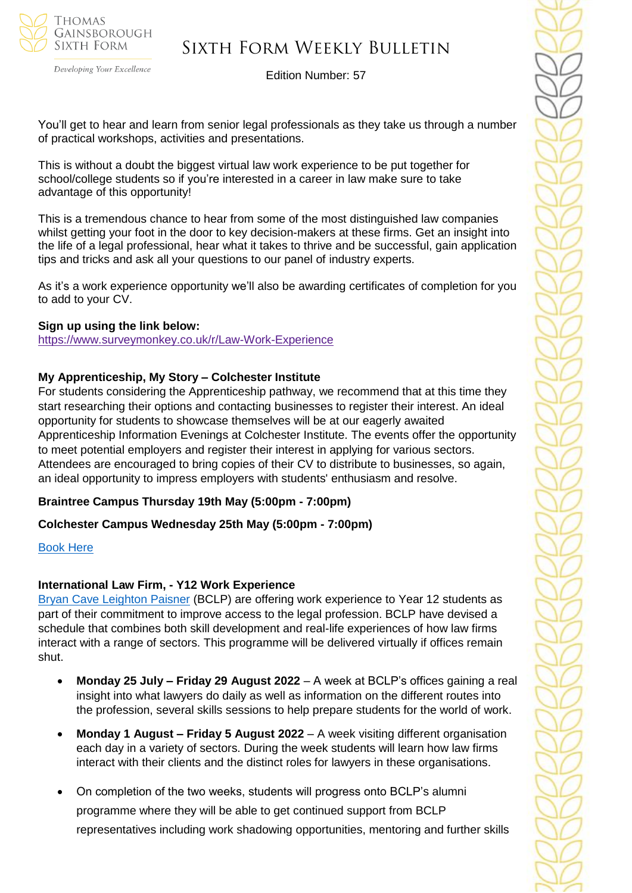

Developing Your Excellence

Edition Number: 57

You'll get to hear and learn from senior legal professionals as they take us through a number of practical workshops, activities and presentations.

This is without a doubt the biggest virtual law work experience to be put together for school/college students so if you're interested in a career in law make sure to take advantage of this opportunity!

This is a tremendous chance to hear from some of the most distinguished law companies whilst getting your foot in the door to key decision-makers at these firms. Get an insight into the life of a legal professional, hear what it takes to thrive and be successful, gain application tips and tricks and ask all your questions to our panel of industry experts.

As it's a work experience opportunity we'll also be awarding certificates of completion for you to add to your CV.

### **Sign up using the link below:**

<https://www.surveymonkey.co.uk/r/Law-Work-Experience>

### **My Apprenticeship, My Story – Colchester Institute**

For students considering the Apprenticeship pathway, we recommend that at this time they start researching their options and contacting businesses to register their interest. An ideal opportunity for students to showcase themselves will be at our eagerly awaited Apprenticeship Information Evenings at Colchester Institute. The events offer the opportunity to meet potential employers and register their interest in applying for various sectors. Attendees are encouraged to bring copies of their CV to distribute to businesses, so again, an ideal opportunity to impress employers with students' enthusiasm and resolve.

### **Braintree Campus Thursday 19th May (5:00pm - 7:00pm)**

### **Colchester Campus Wednesday 25th May (5:00pm - 7:00pm)**

### [Book Here](https://www.colchester.ac.uk/events/?f24_pid=db01a9d4-1973-4328-8f22-9e8504b0ca3f&utm_campaign=2022%2003%2030%20-%20Schools%20Update%20-%2092&utm_source=force24&utm_medium=email&utm_content=textlink)

### **International Law Firm, - Y12 Work Experience**

[Bryan Cave Leighton Paisner](https://nam12.safelinks.protection.outlook.com/?url=https%3A%2F%2Fmykindacrowd.us6.list-manage.com%2Ftrack%2Fclick%3Fu%3Ded0d3c8306048bd1aa89fb8aa%26id%3Dd4b5888e23%26e%3D6a71ef3d64&data=04%7C01%7C%7Ca42d6fcdb3294051de3a08da0035846a%7C84df9e7fe9f640afb435aaaaaaaaaaaa%7C1%7C0%7C637822527094728893%7CUnknown%7CTWFpbGZsb3d8eyJWIjoiMC4wLjAwMDAiLCJQIjoiV2luMzIiLCJBTiI6Ik1haWwiLCJXVCI6Mn0%3D%7C3000&sdata=ZDGSKFlvIYYjNkmN9S6ZheP1SMAkGXRalT2hYqJWzmM%3D&reserved=0) (BCLP) are offering work experience to Year 12 students as part of their commitment to improve access to the legal profession. BCLP have devised a schedule that combines both skill development and real-life experiences of how law firms interact with a range of sectors. This programme will be delivered virtually if offices remain shut.

- **Monday 25 July – Friday 29 August 2022**  A week at BCLP's offices gaining a real insight into what lawyers do daily as well as information on the different routes into the profession, several skills sessions to help prepare students for the world of work.
- **Monday 1 August – Friday 5 August 2022** A week visiting different organisation each day in a variety of sectors. During the week students will learn how law firms interact with their clients and the distinct roles for lawyers in these organisations.
- On completion of the two weeks, students will progress onto BCLP's alumni programme where they will be able to get continued support from BCLP representatives including work shadowing opportunities, mentoring and further skills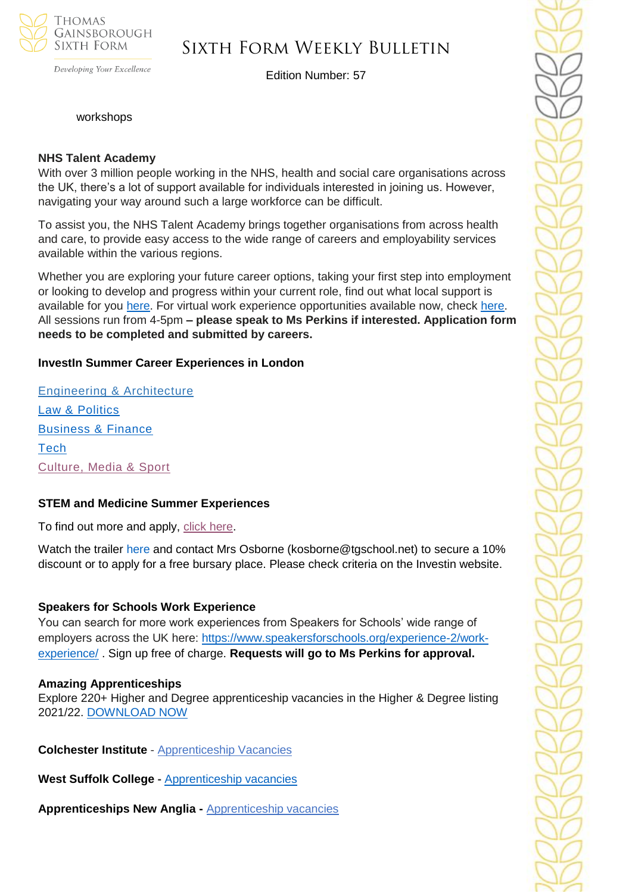

# Sixth Form Weekly Bulletin

Edition Number: 57

workshops

#### **NHS Talent Academy**

With over 3 million people working in the NHS, health and social care organisations across the UK, there's a lot of support available for individuals interested in joining us. However, navigating your way around such a large workforce can be difficult.

To assist you, the NHS Talent Academy brings together organisations from across health and care, to provide easy access to the wide range of careers and employability services available within the various regions.

Whether you are exploring your future career options, taking your first step into employment or looking to develop and progress within your current role, find out what local support is available for you [here.](https://nhstalentacademy.org.uk/) For virtual work experience opportunities available now, check [here.](https://nhstalentacademy.org.uk/?s=Let%27s+Talk+About) All sessions run from 4-5pm **– please speak to Ms Perkins if interested. Application form needs to be completed and submitted by careers.**

### **InvestIn Summer Career Experiences in London**

[Engineering & Architecture](https://investin.org/pages/choose-your-engineering-architecture-summer-experience) [Law & Politics](https://investin.org/pages/choose-your-law-politics-summer-experience) [Business & Finance](https://investin.org/pages/choose-your-business-finance-summer-experience) **[Tech](https://investin.org/pages/choose-your-tech-summer-experience)** [Culture, Media & Sport](https://investin.org/pages/choose-your-culture-media-sport-summer-experience)

### **STEM and Medicine Summer Experiences**

To find out more and apply, [click here.](https://investin.org/pages/choose-your-stem-summer-experience?utm_source=UK+SCHOOLS+MASTER&utm_campaign=a31ab330e2-bankersschoolmar_COPY_01&utm_medium=email&utm_term=0_bfccb03bbd-a31ab330e2-137697031&mc_cid=a31ab330e2&mc_eid=894e4199ae)

Watch the trailer [here](https://investin.org/blogs/news/summer-experiences-2022?utm_source=UK+SCHOOLS+MASTER&utm_campaign=b369a1e6b8-bankersschoolmar_COPY_01&utm_medium=email&utm_term=0_bfccb03bbd-b369a1e6b8-139395613&mc_cid=b369a1e6b8&mc_eid=0dcddf7ff6) and contact Mrs Osborne (kosborne@tgschool.net) to secure a 10% discount or to apply for a free bursary place. Please check criteria on the Investin website.

### **Speakers for Schools Work Experience**

You can search for more work experiences from Speakers for Schools' wide range of employers across the UK here: [https://www.speakersforschools.org/experience-2/work](https://www.speakersforschools.org/experience-2/work-experience/)[experience/](https://www.speakersforschools.org/experience-2/work-experience/) . Sign up free of charge. **Requests will go to Ms Perkins for approval.**

#### **Amazing Apprenticeships**

Explore 220+ Higher and Degree apprenticeship vacancies in the Higher & Degree listing 2021/22. [DOWNLOAD NOW](https://amazingapprenticeships.com/resource/higher-and-degree-listing/)

**Colchester Institute** - Apprenticeship Vacancies

**West Suffolk College -** [Apprenticeship vacancies](https://www.wsc.ac.uk/find-a-course/apprenticeships)

**Apprenticeships New Anglia -** [Apprenticeship vacancies](https://www.apprenticeshipsnewanglia.co.uk/)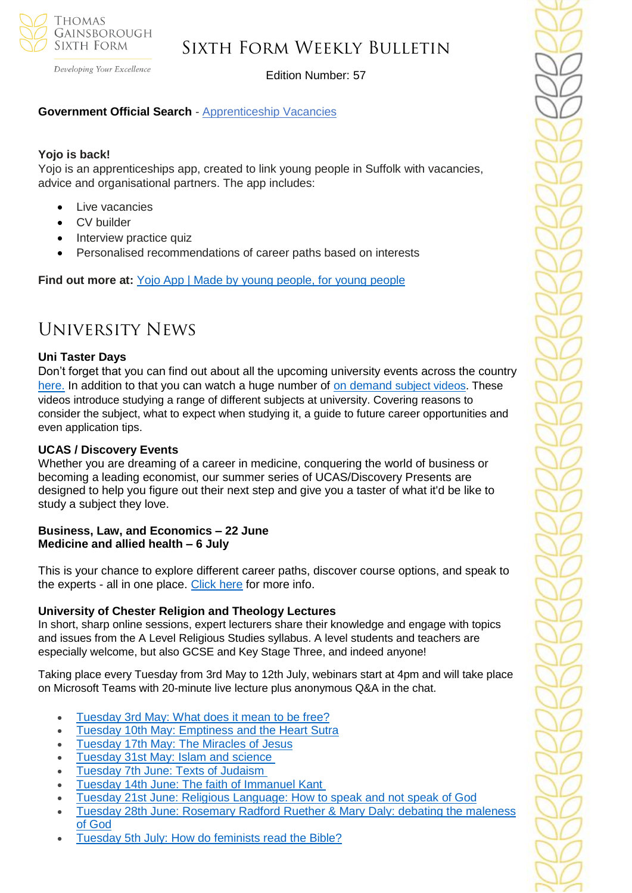

Developing Your Excellence

# Edition Number: 57

# **Government Official Search** - [Apprenticeship Vacancies](https://www.gov.uk/apply-apprenticeship)

### **Yojo is back!**

Yojo is an apprenticeships app, created to link young people in Suffolk with vacancies, advice and organisational partners. The app includes:

- Live vacancies
- **CV** builder
- Interview practice quiz
- Personalised recommendations of career paths based on interests

**Find out more at:** [Yojo App | Made by young people, for young people](https://emea01.safelinks.protection.outlook.com/?url=https%3A%2F%2Fyojoapp.co.uk%2F&data=04%7C01%7C%7C4c6c44ecc3fb4f20ff7908d9db3b3618%7C84df9e7fe9f640afb435aaaaaaaaaaaa%7C1%7C0%7C637781869767483855%7CUnknown%7CTWFpbGZsb3d8eyJWIjoiMC4wLjAwMDAiLCJQIjoiV2luMzIiLCJBTiI6Ik1haWwiLCJXVCI6Mn0%3D%7C3000&sdata=9WtYUB305aPkl6q46VQFnWxhGcaNixIyQ7zb9qHytQc%3D&reserved=0)

# University News

### **Uni Taster Days**

Don't forget that you can find out about all the upcoming university events across the country [here.](https://www.unitasterdays.com/search.aspx) In addition to that you can watch a huge number of on demand [subject videos.](https://www.unitasterdays.com/ondemand) These videos introduce studying a range of different subjects at university. Covering reasons to consider the subject, what to expect when studying it, a guide to future career opportunities and even application tips.

### **UCAS / Discovery Events**

Whether you are dreaming of a career in medicine, conquering the world of business or becoming a leading economist, our summer series of UCAS/Discovery Presents are designed to help you figure out their next step and give you a taster of what it'd be like to study a subject they love.

### **Business, Law, and Economics – 22 June Medicine and allied health – 6 July**

This is your chance to explore different career paths, discover course options, and speak to the experts - all in one place. [Click here](https://www.ucas.com/advisers/guides-and-resources/adviser-news/news/ucasdiscovery-presents) for more info.

### **University of Chester Religion and Theology Lectures**

In short, sharp online sessions, expert lecturers share their knowledge and engage with topics and issues from the A Level Religious Studies syllabus. A level students and teachers are especially welcome, but also GCSE and Key Stage Three, and indeed anyone!

Taking place every Tuesday from 3rd May to 12th July, webinars start at 4pm and will take place on Microsoft Teams with 20-minute live lecture plus anonymous Q&A in the chat.

- [Tuesday](https://sendy.chester.ac.uk/l/HNq0arXyBwUnyQ72QKSDAw/s7LD91jTHZcN4btIzjMAjQ/RYjGNyu3OIgog9btc7b79w) 3rd May: What does it mean to be free?
- **Tuesday 10th May: [Emptiness](https://sendy.chester.ac.uk/l/HNq0arXyBwUnyQ72QKSDAw/qV3akaBTsK4ZfGeoCjOl6Q/RYjGNyu3OIgog9btc7b79w) and the Heart Sutra**
- [Tuesday](https://sendy.chester.ac.uk/l/HNq0arXyBwUnyQ72QKSDAw/Fg8SWWVg9ndRtAD1Xn763rhg/RYjGNyu3OIgog9btc7b79w) 17th May: The Miracles of Jesus
- [Tuesday](https://sendy.chester.ac.uk/l/HNq0arXyBwUnyQ72QKSDAw/3kkhCg138922avn7637abVMsFw/RYjGNyu3OIgog9btc7b79w) 31st May: Islam and science
- [Tuesday](https://sendy.chester.ac.uk/l/HNq0arXyBwUnyQ72QKSDAw/z7mXk2XShabBXcZ9z5leSA/RYjGNyu3OIgog9btc7b79w) 7th June: Texts of Judaism
- Tuesday 14th June: The faith of [Immanuel](https://sendy.chester.ac.uk/l/HNq0arXyBwUnyQ72QKSDAw/XvuJJf2IjOSvjbAMf1nXQA/RYjGNyu3OIgog9btc7b79w) Kant
- Tuesday 21st June: Religious [Language:](https://sendy.chester.ac.uk/l/HNq0arXyBwUnyQ72QKSDAw/Dfpq1FJ89mIzzM8oiQEbew/RYjGNyu3OIgog9btc7b79w) How to speak and not speak of God
- Tuesday 28th June: [Rosemary](https://sendy.chester.ac.uk/l/HNq0arXyBwUnyQ72QKSDAw/Ob6tWpanXZ00T763AORwk763LQ/RYjGNyu3OIgog9btc7b79w) Radford Ruether & Mary Daly: debating the maleness of [God](https://sendy.chester.ac.uk/l/HNq0arXyBwUnyQ72QKSDAw/Ob6tWpanXZ00T763AORwk763LQ/RYjGNyu3OIgog9btc7b79w)
- Tuesday 5th July: How do [feminists](https://sendy.chester.ac.uk/l/HNq0arXyBwUnyQ72QKSDAw/XxDzA3Z2OArihoxH763qv35A/RYjGNyu3OIgog9btc7b79w) read the Bible?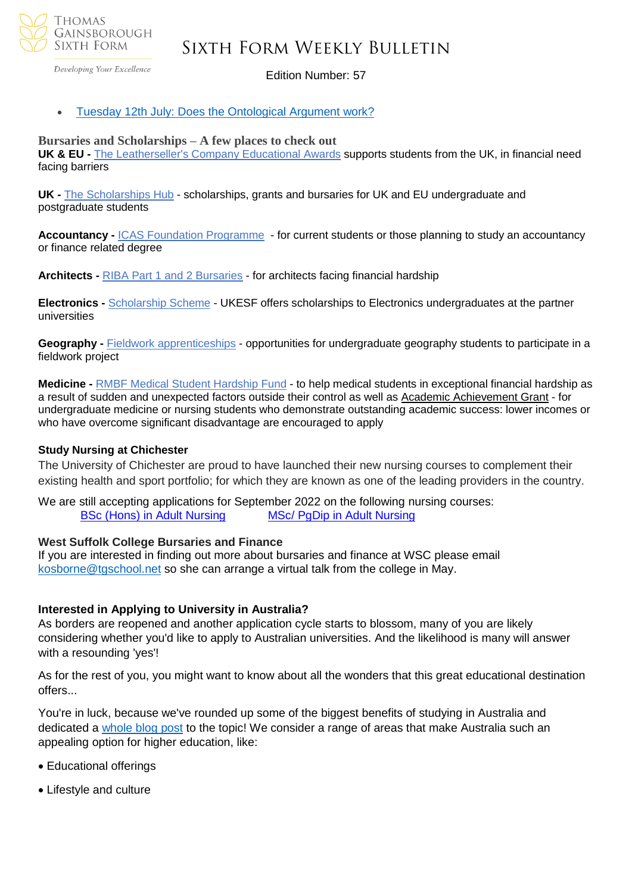

Developing Your Excellence

#### Edition Number: 57

#### • Tuesday 12th July: Does the [Ontological](https://sendy.chester.ac.uk/l/HNq0arXyBwUnyQ72QKSDAw/7sLqHR6M3m2c1OA061bt2g/RYjGNyu3OIgog9btc7b79w) Argument work?

#### **Bursaries and Scholarships – A few places to check out**

**UK & EU -** The [Leatherseller's](https://netsxithform.us5.list-manage.com/track/click?u=8dedc07ce580600fe618f38c3&id=a055ff38a3&e=51b5a4fd55) Company Educational Awards supports students from the UK, in financial need facing barriers

**UK -** The [Scholarships](https://netsxithform.us5.list-manage.com/track/click?u=8dedc07ce580600fe618f38c3&id=466111d4fb&e=51b5a4fd55) Hub - scholarships, grants and bursaries for UK and EU undergraduate and postgraduate students

**Accountancy -** ICAS Foundation [Programme](https://netsxithform.us5.list-manage.com/track/click?u=8dedc07ce580600fe618f38c3&id=b39058a6a8&e=51b5a4fd55) - for current students or those planning to study an accountancy or finance related degree

**Architects -** RIBA Part 1 and 2 [Bursaries](https://netsxithform.us5.list-manage.com/track/click?u=8dedc07ce580600fe618f38c3&id=f3dec096f7&e=51b5a4fd55) - for architects facing financial hardship

**Electronics -** [Scholarship](https://netsxithform.us5.list-manage.com/track/click?u=8dedc07ce580600fe618f38c3&id=b57b74b764&e=51b5a4fd55) Scheme - UKESF offers scholarships to Electronics undergraduates at the partner universities

**Geography -** [Fieldwork](https://netsxithform.us5.list-manage.com/track/click?u=8dedc07ce580600fe618f38c3&id=df60c69092&e=51b5a4fd55) [apprenticeships](https://netsxithform.us5.list-manage.com/track/click?u=8dedc07ce580600fe618f38c3&id=acdd2cb3b3&e=51b5a4fd55) - opportunities for undergraduate geography students to participate in a fieldwork project

**Medicine -** RMBF Medical Student [Hardship](https://netsxithform.us5.list-manage.com/track/click?u=8dedc07ce580600fe618f38c3&id=01743f67fa&e=51b5a4fd55) Fund - to help medical students in exceptional financial hardship as a result of sudden and unexpected factors outside their control as well as Academic [Achievement](https://netsxithform.us5.list-manage.com/track/click?u=8dedc07ce580600fe618f38c3&id=55b10faaae&e=51b5a4fd55) Grant - for undergraduate medicine or nursing students who demonstrate outstanding academic success: lower incomes or who have overcome significant disadvantage are encouraged to apply

#### **Study Nursing at Chichester**

The University of Chichester are proud to have launched their new nursing courses to complement their existing health and sport portfolio; for which they are known as one of the leading providers in the country.

We are still accepting applications for September 2022 on the following nursing courses: BSc (Hons) in Adult [Nursing](https://successatschool.us3.list-manage.com/track/click?u=2c038531b25876a2c7c9cf8b1&id=b1df198c83&e=530f418f3c) MSc/ PgDip in Adult [Nursing](https://successatschool.us3.list-manage.com/track/click?u=2c038531b25876a2c7c9cf8b1&id=f2fbadffff&e=530f418f3c)

#### **West Suffolk College Bursaries and Finance**

If you are interested in finding out more about bursaries and finance at WSC please email [kosborne@tgschool.net](mailto:kosborne@tgschool.net) so she can arrange a virtual talk from the college in May.

#### **Interested in Applying to University in Australia?**

As borders are reopened and another application cycle starts to blossom, many of you are likely considering whether you'd like to apply to Australian universities. And the likelihood is many will answer with a resounding 'yes'!

As for the rest of you, you might want to know about all the wonders that this great educational destination offers...

You're in luck, because we've rounded up some of the biggest benefits of studying in Australia and dedicated a [whole blog post](https://bridge-u.com/blog/6-reasons-why-your-students-want-to-study-in-australia/) to the topic! We consider a range of areas that make Australia such an appealing option for higher education, like:

- Educational offerings
- Lifestyle and culture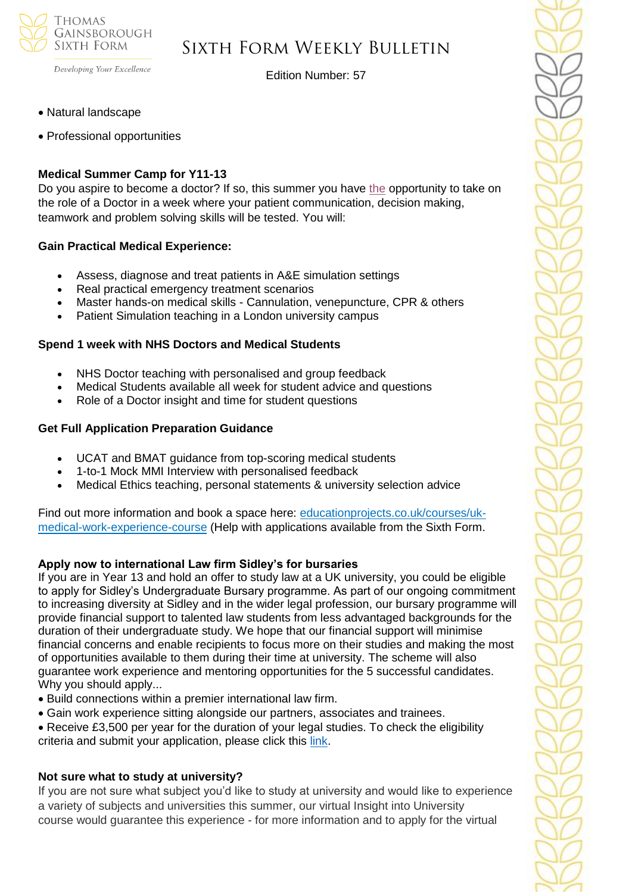

Edition Number: 57

• Natural landscape

Developing Your Excellence

• Professional opportunities

### **Medical Summer Camp for Y11-13**

Do you aspire to become a doctor? If so, this summer you have [the](https://edu9.sprintsend.co.uk/b2/link.php?M=1213464&N=104&L=347&F=H) opportunity to take on the role of a Doctor in a week where your patient communication, decision making, teamwork and problem solving skills will be tested. You will:

### **Gain Practical Medical Experience:**

- Assess, diagnose and treat patients in A&E simulation settings
- Real practical emergency treatment scenarios
- Master hands-on medical skills Cannulation, venepuncture, CPR & others
- Patient Simulation teaching in a London university campus

### **Spend 1 week with NHS Doctors and Medical Students**

- NHS Doctor teaching with personalised and group feedback
- Medical Students available all week for student advice and questions
- Role of a Doctor insight and time for student questions

#### **Get Full Application Preparation Guidance**

- UCAT and BMAT guidance from top-scoring medical students
- 1-to-1 Mock MMI Interview with personalised feedback
- Medical Ethics teaching, personal statements & university selection advice

Find out more information and book a space here: [educationprojects.co.uk/courses/uk](https://edu9.sprintsend.co.uk/b2/link.php?M=1213464&N=104&L=346&F=H)[medical-work-experience-course](https://edu9.sprintsend.co.uk/b2/link.php?M=1213464&N=104&L=346&F=H) (Help with applications available from the Sixth Form.

### **Apply now to international Law firm Sidley's for bursaries**

If you are in Year 13 and hold an offer to study law at a UK university, you could be eligible to apply for Sidley's Undergraduate Bursary programme. As part of our ongoing commitment to increasing diversity at Sidley and in the wider legal profession, our bursary programme will provide financial support to talented law students from less advantaged backgrounds for the duration of their undergraduate study. We hope that our financial support will minimise financial concerns and enable recipients to focus more on their studies and making the most of opportunities available to them during their time at university. The scheme will also guarantee work experience and mentoring opportunities for the 5 successful candidates. Why you should apply...

- Build connections within a premier international law firm.
- Gain work experience sitting alongside our partners, associates and trainees.

• Receive £3,500 per year for the duration of your legal studies. To check the eligibility criteria and submit your application, please click this [link.](https://www.sidleycareers.com/en/europe/london-opportunities?tab=london-undergraduate-bursary-programme&goal=0_65c6d67e71-ee29717514-212136547&mc_cid=ee29717514&mc_eid=530f418f3c)

### **Not sure what to study at university?**

If you are not sure what subject you'd like to study at university and would like to experience a variety of subjects and universities this summer, our virtual Insight into University course would guarantee this experience - for more information and to apply for the virtual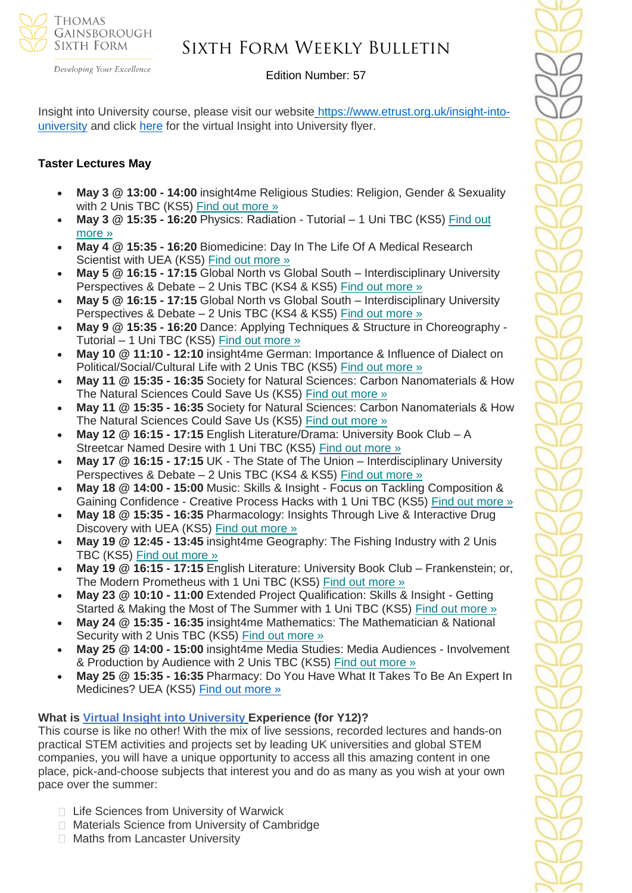

Developing Your Excellence

# Edition Number: 57

Insight into University course, please visit our website [https://www.etrust.org.uk/insight-into](https://www.etrust.org.uk/insight-into-university)[university](https://www.etrust.org.uk/insight-into-university) and click [here](https://dd233f6a-c442-4437-a8e1-9e42987b6020.filesusr.com/ugd/4517c8_fcb7add322ae4a1eab2156347e1f2442.pdf) for the virtual Insight into University flyer.

### **Taster Lectures May**

- **May 3 @ 13:00 - 14:00** insight4me Religious Studies: Religion, Gender & Sexuality with 2 Unis TBC (KS5) Find out [more](https://channeltalent.us10.list-manage.com/track/click?u=145837fa6843e0c349598322a&id=e36cdfc670&e=155232616c) »
- **May 3 @ 15:35 - 16:20** Physics: Radiation Tutorial 1 Uni TBC (KS5) [Find](https://channeltalent.us10.list-manage.com/track/click?u=145837fa6843e0c349598322a&id=0ef7667675&e=155232616c) out [more](https://channeltalent.us10.list-manage.com/track/click?u=145837fa6843e0c349598322a&id=0ef7667675&e=155232616c) »
- **May 4 @ 15:35 - 16:20** Biomedicine: Day In The Life Of A Medical Research Scientist with UEA (KS5) Find out [more](https://channeltalent.us10.list-manage.com/track/click?u=145837fa6843e0c349598322a&id=98cf5ea4fa&e=155232616c) »
- **May 5 @ 16:15 - 17:15** Global North vs Global South Interdisciplinary University Perspectives & Debate – 2 Unis TBC (KS4 & KS5) Find out [more](https://channeltalent.us10.list-manage.com/track/click?u=145837fa6843e0c349598322a&id=49a55764f0&e=155232616c) »
- **May 5 @ 16:15 - 17:15** Global North vs Global South Interdisciplinary University Perspectives & Debate – 2 Unis TBC (KS4 & KS5) Find out [more](https://channeltalent.us10.list-manage.com/track/click?u=145837fa6843e0c349598322a&id=ba559e48c8&e=155232616c) »
- **May 9 @ 15:35 - 16:20** Dance: Applying Techniques & Structure in Choreography Tutorial – 1 Uni TBC (KS5) Find out [more](https://channeltalent.us10.list-manage.com/track/click?u=145837fa6843e0c349598322a&id=e899227397&e=155232616c) »
- **May 10 @ 11:10 - 12:10** insight4me German: Importance & Influence of Dialect on Political/Social/Cultural Life with 2 Unis TBC (KS5) Find out [more](https://channeltalent.us10.list-manage.com/track/click?u=145837fa6843e0c349598322a&id=61a0b7a9ff&e=155232616c) »
- **May 11 @ 15:35 - 16:35** Society for Natural Sciences: Carbon Nanomaterials & How The Natural Sciences Could Save Us (KS5) Find out [more](https://channeltalent.us10.list-manage.com/track/click?u=145837fa6843e0c349598322a&id=174c27095e&e=155232616c) »
- **May 11 @ 15:35 - 16:35** Society for Natural Sciences: Carbon Nanomaterials & How The Natural Sciences Could Save Us (KS5) Find out [more](https://channeltalent.us10.list-manage.com/track/click?u=145837fa6843e0c349598322a&id=4a71a47bd5&e=155232616c) »
- **May 12 @ 16:15 - 17:15** English Literature/Drama: University Book Club A Streetcar Named Desire with 1 Uni TBC (KS5) Find out [more](https://channeltalent.us10.list-manage.com/track/click?u=145837fa6843e0c349598322a&id=070d73006b&e=155232616c) »
- **May 17 @ 16:15 - 17:15** UK The State of The Union Interdisciplinary University Perspectives & Debate – 2 Unis TBC (KS4 & KS5) Find out [more](https://channeltalent.us10.list-manage.com/track/click?u=145837fa6843e0c349598322a&id=90392dc928&e=155232616c) »
- **May 18 @ 14:00 - 15:00** Music: Skills & Insight Focus on Tackling Composition & Gaining Confidence - Creative Process Hacks with 1 Uni TBC (KS5) Find out [more](https://channeltalent.us10.list-manage.com/track/click?u=145837fa6843e0c349598322a&id=0f143df4a0&e=155232616c) »
- **May 18 @ 15:35 - 16:35** Pharmacology: Insights Through Live & Interactive Drug Discovery with UEA (KS5) Find out [more](https://channeltalent.us10.list-manage.com/track/click?u=145837fa6843e0c349598322a&id=1d843601bd&e=ba0e9a2959) »
- **May 19 @ 12:45 - 13:45** insight4me Geography: The Fishing Industry with 2 Unis TBC (KS5) Find out [more](https://channeltalent.us10.list-manage.com/track/click?u=145837fa6843e0c349598322a&id=4666325908&e=155232616c) »
- **May 19 @ 16:15 - 17:15** English Literature: University Book Club Frankenstein; or, The Modern Prometheus with 1 Uni TBC (KS5) Find out [more](https://channeltalent.us10.list-manage.com/track/click?u=145837fa6843e0c349598322a&id=62400f7076&e=155232616c) »
- **May 23 @ 10:10 - 11:00** Extended Project Qualification: Skills & Insight Getting Started & Making the Most of The Summer with 1 Uni TBC (KS5) Find out [more](https://channeltalent.us10.list-manage.com/track/click?u=145837fa6843e0c349598322a&id=02acee6a35&e=155232616c) »
- **May 24 @ 15:35 - 16:35** insight4me Mathematics: The Mathematician & National Security with 2 Unis TBC (KS5) Find out [more](https://channeltalent.us10.list-manage.com/track/click?u=145837fa6843e0c349598322a&id=016a35f4ce&e=155232616c) »
- **May 25 @ 14:00 - 15:00** insight4me Media Studies: Media Audiences Involvement & Production by Audience with 2 Unis TBC (KS5) Find out [more](https://channeltalent.us10.list-manage.com/track/click?u=145837fa6843e0c349598322a&id=d921727e6b&e=155232616c) »
- **May 25 @ 15:35 - 16:35** Pharmacy: Do You Have What It Takes To Be An Expert In Medicines? UEA (KS5) Find out [more](https://channeltalent.us10.list-manage.com/track/click?u=145837fa6843e0c349598322a&id=769dc7ff61&e=ba0e9a2959) »

# **What is Virtual Insight into [University](https://www.etrust.org.uk/insight-into-university) Experience (for Y12)?**

This course is like no other! With the mix of live sessions, recorded lectures and hands-on practical STEM activities and projects set by leading UK universities and global STEM companies, you will have a unique opportunity to access all this amazing content in one place, pick-and-choose subjects that interest you and do as many as you wish at your own pace over the summer:

- □ Life Sciences from University of Warwick
- □ Materials Science from University of Cambridge
- **Maths from Lancaster University**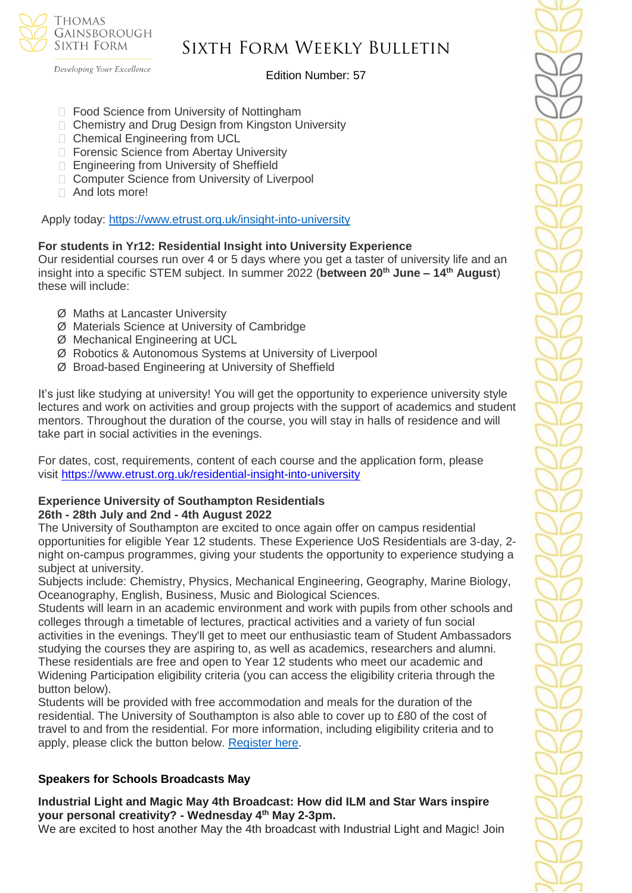**THOMAS** GAINSBOROUGH SIXTH FORM

# Sixth Form Weekly Bulletin

Developing Your Excellence

### Edition Number: 57

- □ Food Science from University of Nottingham
- □ Chemistry and Drug Design from Kingston University
- □ Chemical Engineering from UCL
- □ Forensic Science from Abertay University
- □ Engineering from University of Sheffield
- □ Computer Science from University of Liverpool
- □ And lots more!

Apply today: <https://www.etrust.org.uk/insight-into-university>

### **For students in Yr12: Residential Insight into University Experience**

Our residential courses run over 4 or 5 days where you get a taster of university life and an insight into a specific STEM subject. In summer 2022 (**between 20th June – 14th August**) these will include:

- Ø Maths at Lancaster University
- Ø Materials Science at University of Cambridge
- Ø Mechanical Engineering at UCL
- Ø Robotics & Autonomous Systems at University of Liverpool
- Ø Broad-based Engineering at University of Sheffield

It's just like studying at university! You will get the opportunity to experience university style lectures and work on activities and group projects with the support of academics and student mentors. Throughout the duration of the course, you will stay in halls of residence and will take part in social activities in the evenings.

For dates, cost, requirements, content of each course and the application form, please visit <https://www.etrust.org.uk/residential-insight-into-university>

#### **Experience University of Southampton Residentials 26th - 28th July and 2nd - 4th August 2022**

The University of Southampton are excited to once again offer on campus residential opportunities for eligible Year 12 students. These Experience UoS Residentials are 3-day, 2 night on-campus programmes, giving your students the opportunity to experience studying a subject at university.

Subjects include: Chemistry, Physics, Mechanical Engineering, Geography, Marine Biology, Oceanography, English, Business, Music and Biological Sciences.

Students will learn in an academic environment and work with pupils from other schools and colleges through a timetable of lectures, practical activities and a variety of fun social activities in the evenings. They'll get to meet our enthusiastic team of Student Ambassadors studying the courses they are aspiring to, as well as academics, researchers and alumni. These residentials are free and open to Year 12 students who meet our academic and Widening Participation eligibility criteria (you can access the eligibility criteria through the button below).

Students will be provided with free accommodation and meals for the duration of the residential. The University of Southampton is also able to cover up to £80 of the cost of travel to and from the residential. For more information, including eligibility criteria and to apply, please click the button below. [Register here.](https://www.southampton.ac.uk/schools-colleges/experience-summer-event.page+)

# **Speakers for Schools Broadcasts May**

**Industrial Light and Magic May 4th Broadcast: How did ILM and Star Wars inspire your personal creativity? - Wednesday 4 th May 2-3pm.**

We are excited to host another May the 4th broadcast with Industrial Light and Magic! Join